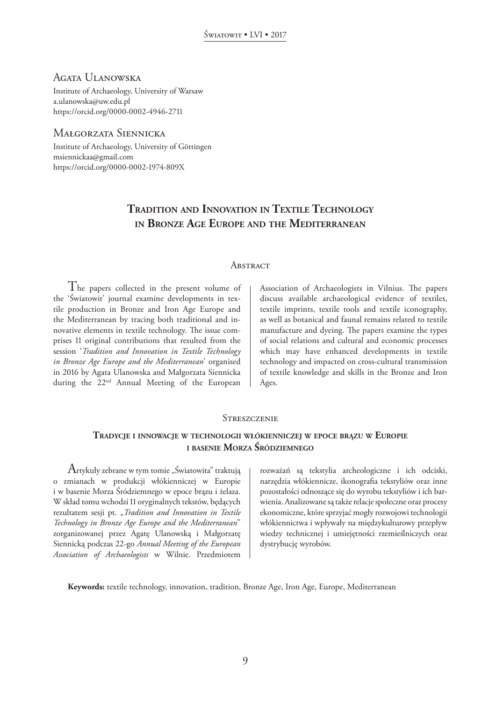# Agata Ulanowska

Institute of Archaeology, University of Warsaw a.ulanowska@uw.edu.pl https://orcid.org/0000-0002-4946-2711

# Małgorzata Siennicka

Institute of Archaeology, University of Göttingen msiennickaa@gmail.com https://orcid.org/0000-0002-1974-809X

# **Tradition and Innovation in Textile Technology in Bronze Age Europe and the Mediterranean**

#### **ABSTRACT**

The papers collected in the present volume of the 'Światowit' journal examine developments in textile production in Bronze and Iron Age Europe and the Mediterranean by tracing both traditional and innovative elements in textile technology. The issue comprises 11 original contributions that resulted from the session '*Tradition and Innovation in Textile Technology in Bronze Age Europe and the Mediterranean*' organised in 2016 by Agata Ulanowska and Małgorzata Siennicka during the 22nd Annual Meeting of the European

Association of Archaeologists in Vilnius. The papers discuss available archaeological evidence of textiles, textile imprints, textile tools and textile iconography, as well as botanical and faunal remains related to textile manufacture and dyeing. The papers examine the types of social relations and cultural and economic processes which may have enhanced developments in textile technology and impacted on cross-cultural transmission of textile knowledge and skills in the Bronze and Iron Ages.

### **STRESZCZENIE**

# **Tradycje <sup>i</sup> innowacje <sup>w</sup> technologii włókienniczej <sup>w</sup> epoce brązu <sup>w</sup> Europie <sup>i</sup> basenie Morza Śródziemnego**

Artykuły zebrane w tym tomie "Światowita" traktują o zmianach w produkcji włókienniczej w Europie i w basenie Morza Śródziemnego w epoce brązu i żelaza. W skład tomu wchodzi 11 oryginalnych tekstów, będących rezultatem sesji pt. "Tradition and Innovation in Textile *Technology in Bronze Age Europe and the Mediterranean*" zorganizowanej przez Agatę Ulanowską i Małgorzatę Siennicką podczas 22-go *Annual Meeting of the European Association of Archaeologists* w Wilnie. Przedmiotem rozważań są tekstylia archeologiczne i ich odciski, narzędzia włókiennicze, ikonografia tekstyliów oraz inne pozostałości odnoszące się do wyrobu tekstyliów i ich barwienia. Analizowane są także relacje społeczne oraz procesy ekonomiczne, które sprzyjać mogły rozwojowi technologii włókiennictwa i wpływały na międzykulturowy przepływ wiedzy technicznej i umiejętności rzemieślniczych oraz dystrybucję wyrobów.

**Keywords:** textile technology, innovation, tradition, Bronze Age, Iron Age, Europe, Mediterranean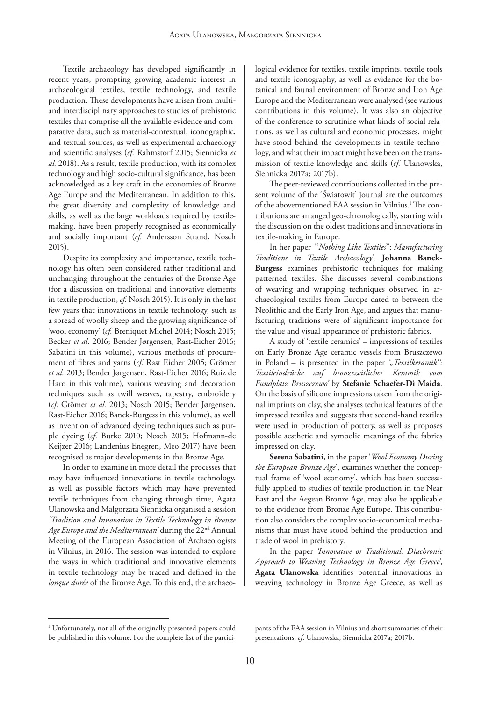Textile archaeology has developed significantly in recent years, prompting growing academic interest in archaeological textiles, textile technology, and textile production. These developments have arisen from multiand interdisciplinary approaches to studies of prehistoric textiles that comprise all the available evidence and comparative data, such as material-contextual, iconographic, and textual sources, as well as experimental archaeology and scientific analyses (*cf.* Rahmstorf 2015; Siennicka *et al.* 2018). As a result, textile production, with its complex technology and high socio-cultural significance, has been acknowledged as a key craft in the economies of Bronze Age Europe and the Mediterranean. In addition to this, the great diversity and complexity of knowledge and skills, as well as the large workloads required by textilemaking, have been properly recognised as economically and socially important (*cf.* Andersson Strand, Nosch 2015).

Despite its complexity and importance, textile technology has often been considered rather traditional and unchanging throughout the centuries of the Bronze Age (for a discussion on traditional and innovative elements in textile production, *cf.* Nosch 2015). It is only in the last few years that innovations in textile technology, such as a spread of woolly sheep and the growing significance of 'wool economy' (*cf.* Breniquet Michel 2014; Nosch 2015; Becker *et al*. 2016; Bender Jørgensen, Rast-Eicher 2016; Sabatini in this volume), various methods of procurement of fibres and yarns (*cf.* Rast Eicher 2005; Grömer *et al.* 2013; Bender Jørgensen, Rast-Eicher 2016; Ruiz de Haro in this volume), various weaving and decoration techniques such as twill weaves, tapestry, embroidery (*cf.* Grömer *et al.* 2013; Nosch 2015; Bender Jørgensen, Rast-Eicher 2016; Banck-Burgess in this volume), as well as invention of advanced dyeing techniques such as purple dyeing (*cf.* Burke 2010; Nosch 2015; Hofmann-de Keijzer 2016; Landenius Enegren, Meo 2017) have been recognised as major developments in the Bronze Age.

In order to examine in more detail the processes that may have influenced innovations in textile technology, as well as possible factors which may have prevented textile techniques from changing through time, Agata Ulanowska and Małgorzata Siennicka organised a session *'Tradition and Innovation in Textile Technology in Bronze Age Europe and the Mediterranean'* during the 22nd Annual Meeting of the European Association of Archaeologists in Vilnius, in 2016. The session was intended to explore the ways in which traditional and innovative elements in textile technology may be traced and defined in the *longue durée* of the Bronze Age. To this end, the archaeological evidence for textiles, textile imprints, textile tools and textile iconography, as well as evidence for the botanical and faunal environment of Bronze and Iron Age Europe and the Mediterranean were analysed (see various contributions in this volume). It was also an objective of the conference to scrutinise what kinds of social relations, as well as cultural and economic processes, might have stood behind the developments in textile technology, and what their impact might have been on the transmission of textile knowledge and skills (*cf.* Ulanowska, Siennicka 2017a; 2017b).

The peer-reviewed contributions collected in the present volume of the 'Światowit' journal are the outcomes of the abovementioned EAA session in Vilnius.<sup>1</sup> The contributions are arranged geo-chronologically, starting with the discussion on the oldest traditions and innovations in textile-making in Europe.

In her paper *'*"*Nothing Like Textiles*": *Manufacturing Traditions in Textile Archaeology'*, **Johanna Banck-Burgess** examines prehistoric techniques for making patterned textiles. She discusses several combinations of weaving and wrapping techniques observed in archaeological textiles from Europe dated to between the Neolithic and the Early Iron Age, and argues that manufacturing traditions were of significant importance for the value and visual appearance of prehistoric fabrics.

A study of 'textile ceramics' – impressions of textiles on Early Bronze Age ceramic vessels from Bruszczewo in Poland – is presented in the paper ', Textilkeramik": *Textileindrücke auf bronzezeitlicher Keramik vom Fundplatz Bruszczewo'* by **Stefanie Schaefer-Di Maida**. On the basis of silicone impressions taken from the original imprints on clay, she analyses technical features of the impressed textiles and suggests that second-hand textiles were used in production of pottery, as well as proposes possible aesthetic and symbolic meanings of the fabrics impressed on clay.

**Serena Sabatini**, in the paper '*Wool Economy During the European Bronze Age*', examines whether the conceptual frame of 'wool economy', which has been successfully applied to studies of textile production in the Near East and the Aegean Bronze Age, may also be applicable to the evidence from Bronze Age Europe. This contribution also considers the complex socio-economical mechanisms that must have stood behind the production and trade of wool in prehistory.

In the paper *'Innovative or Traditional: Diachronic Approach to Weaving Technology in Bronze Age Greece'*, **Agata Ulanowska** identifies potential innovations in weaving technology in Bronze Age Greece, as well as

<sup>&</sup>lt;sup>1</sup> Unfortunately, not all of the originally presented papers could be published in this volume. For the complete list of the partici-

pants of the EAA session in Vilnius and short summaries of their presentations, *cf*. Ulanowska, Siennicka 2017a; 2017b.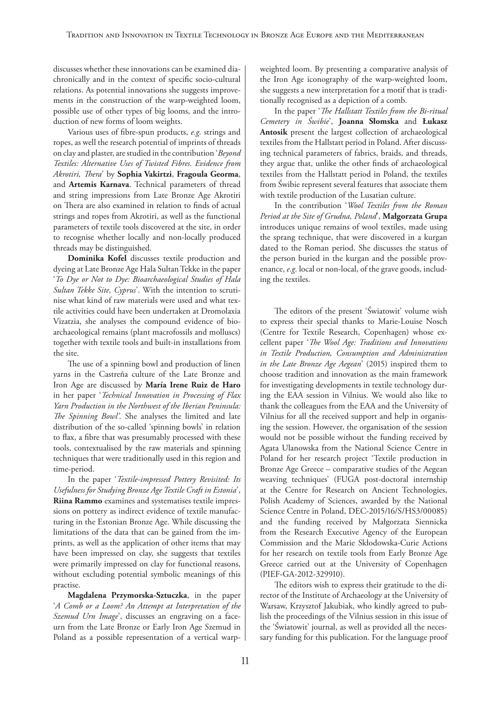discusses whether these innovations can be examined diachronically and in the context of specific socio-cultural relations. As potential innovations she suggests improvements in the construction of the warp-weighted loom, possible use of other types of big looms, and the introduction of new forms of loom weights.

Various uses of fibre-spun products, *e.g.* strings and ropes, as well the research potential of imprints of threads on clay and plaster, are studied in the contribution '*Beyond Textiles: Alternative Uses of Twisted Fibres. Evidence from Akrotiri, Thera*' by **Sophia Vakirtzi**, **Fragoula Georma**, and **Artemis Karnava**. Technical parameters of thread and string impressions from Late Bronze Age Akrotiri on Thera are also examined in relation to finds of actual strings and ropes from Akrotiri, as well as the functional parameters of textile tools discovered at the site, in order to recognise whether locally and non-locally produced threads may be distinguished.

**Dominika Kofel** discusses textile production and dyeing at Late Bronze Age Hala Sultan Tekke in the paper '*To Dye or Not to Dye: Bioarchaeological Studies of Hala Sultan Tekke Site, Cyprus*'. With the intention to scrutinise what kind of raw materials were used and what textile activities could have been undertaken at Dromolaxia Vizatzia, she analyses the compound evidence of bioarchaeological remains (plant macrofossils and molluscs) together with textile tools and built-in installations from the site.

The use of a spinning bowl and production of linen yarns in the Castreña culture of the Late Bronze and Iron Age are discussed by **María Irene Ruiz de Haro** in her paper '*Technical Innovation in Processing of Flax Yarn Production in the Northwest of the Iberian Peninsula: The Spinning Bowl'*. She analyses the limited and late distribution of the so-called 'spinning bowls' in relation to flax, a fibre that was presumably processed with these tools, contextualised by the raw materials and spinning techniques that were traditionally used in this region and time-period.

In the paper '*Textile-impressed Pottery Revisited: Its Usefulness for Studying Bronze Age Textile Craft in Estonia*', **Riina Rammo** examines and systematises textile impressions on pottery as indirect evidence of textile manufacturing in the Estonian Bronze Age. While discussing the limitations of the data that can be gained from the imprints, as well as the application of other items that may have been impressed on clay, she suggests that textiles were primarily impressed on clay for functional reasons, without excluding potential symbolic meanings of this practise.

**Magdalena Przymorska-Sztuczka**, in the paper '*A Comb or a Loom? An Attempt at Interpretation of the Szemud Urn Image*', discusses an engraving on a faceurn from the Late Bronze or Early Iron Age Szemud in Poland as a possible representation of a vertical warp-

weighted loom. By presenting a comparative analysis of the Iron Age iconography of the warp-weighted loom, she suggests a new interpretation for a motif that is traditionally recognised as a depiction of a comb.

In the paper '*The Hallstatt Textiles from the Bi-ritual Cemetery in Świbie*', **Joanna Słomska** and **Łukasz Antosik** present the largest collection of archaeological textiles from the Hallstatt period in Poland. After discussing technical parameters of fabrics, braids, and threads, they argue that, unlike the other finds of archaeological textiles from the Hallstatt period in Poland, the textiles from Świbie represent several features that associate them with textile production of the Lusatian culture.

In the contribution '*Wool Textiles from the Roman Period at the Site of Grudna, Poland*', **Małgorzata Grupa**  introduces unique remains of wool textiles, made using the sprang technique, that were discovered in a kurgan dated to the Roman period. She discusses the status of the person buried in the kurgan and the possible provenance, *e.g.* local or non-local, of the grave goods, including the textiles.

The editors of the present 'Światowit' volume wish to express their special thanks to Marie-Louise Nosch (Centre for Textile Research, Copenhagen) whose excellent paper '*The Wool Age: Traditions and Innovations in Textile Production, Consumption and Administration in the Late Bronze Age Aegean*' (2015) inspired them to choose tradition and innovation as the main framework for investigating developments in textile technology during the EAA session in Vilnius. We would also like to thank the colleagues from the EAA and the University of Vilnius for all the received support and help in organising the session. However, the organisation of the session would not be possible without the funding received by Agata Ulanowska from the National Science Centre in Poland for her research project 'Textile production in Bronze Age Greece – comparative studies of the Aegean weaving techniques' (FUGA post-doctoral internship at the Centre for Research on Ancient Technologies, Polish Academy of Sciences, awarded by the National Science Centre in Poland, DEC-2015/16/S/HS3/00085) and the funding received by Małgorzata Siennicka from the Research Executive Agency of the European Commission and the Marie Skłodowska-Curie Actions for her research on textile tools from Early Bronze Age Greece carried out at the University of Copenhagen (PIEF-GA-2012-329910).

The editors wish to express their gratitude to the director of the Institute of Archaeology at the University of Warsaw, Krzysztof Jakubiak, who kindly agreed to publish the proceedings of the Vilnius session in this issue of the 'Światowit' journal, as well as provided all the necessary funding for this publication. For the language proof